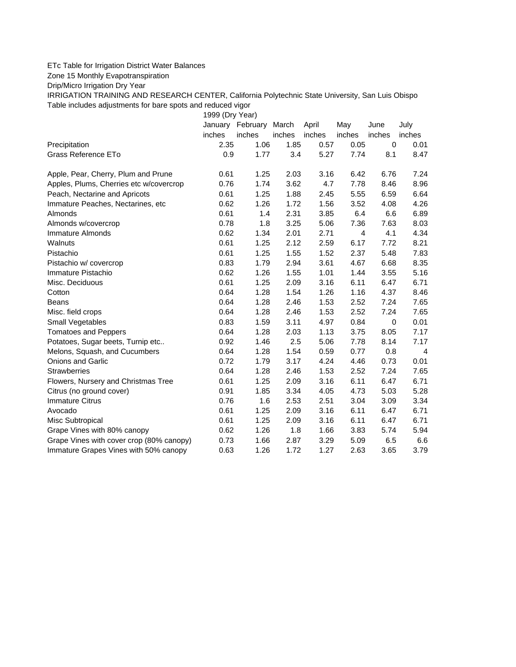## ETc Table for Irrigation District Water Balances

Zone 15 Monthly Evapotranspiration

Drip/Micro Irrigation Dry Year

IRRIGATION TRAINING AND RESEARCH CENTER, California Polytechnic State University, San Luis Obispo Table includes adjustments for bare spots and reduced vigor

1999 (Dry Year)

|                                          |        | January February | March  | April  | May    | June        | July           |
|------------------------------------------|--------|------------------|--------|--------|--------|-------------|----------------|
|                                          | inches | inches           | inches | inches | inches | inches      | inches         |
| Precipitation                            | 2.35   | 1.06             | 1.85   | 0.57   | 0.05   | $\mathbf 0$ | 0.01           |
| <b>Grass Reference ETo</b>               | 0.9    | 1.77             | 3.4    | 5.27   | 7.74   | 8.1         | 8.47           |
| Apple, Pear, Cherry, Plum and Prune      | 0.61   | 1.25             | 2.03   | 3.16   | 6.42   | 6.76        | 7.24           |
| Apples, Plums, Cherries etc w/covercrop  | 0.76   | 1.74             | 3.62   | 4.7    | 7.78   | 8.46        | 8.96           |
| Peach, Nectarine and Apricots            | 0.61   | 1.25             | 1.88   | 2.45   | 5.55   | 6.59        | 6.64           |
| Immature Peaches, Nectarines, etc        | 0.62   | 1.26             | 1.72   | 1.56   | 3.52   | 4.08        | 4.26           |
| Almonds                                  | 0.61   | 1.4              | 2.31   | 3.85   | 6.4    | 6.6         | 6.89           |
| Almonds w/covercrop                      | 0.78   | 1.8              | 3.25   | 5.06   | 7.36   | 7.63        | 8.03           |
| Immature Almonds                         | 0.62   | 1.34             | 2.01   | 2.71   | 4      | 4.1         | 4.34           |
| Walnuts                                  | 0.61   | 1.25             | 2.12   | 2.59   | 6.17   | 7.72        | 8.21           |
| Pistachio                                | 0.61   | 1.25             | 1.55   | 1.52   | 2.37   | 5.48        | 7.83           |
| Pistachio w/ covercrop                   | 0.83   | 1.79             | 2.94   | 3.61   | 4.67   | 6.68        | 8.35           |
| Immature Pistachio                       | 0.62   | 1.26             | 1.55   | 1.01   | 1.44   | 3.55        | 5.16           |
| Misc. Deciduous                          | 0.61   | 1.25             | 2.09   | 3.16   | 6.11   | 6.47        | 6.71           |
| Cotton                                   | 0.64   | 1.28             | 1.54   | 1.26   | 1.16   | 4.37        | 8.46           |
| <b>Beans</b>                             | 0.64   | 1.28             | 2.46   | 1.53   | 2.52   | 7.24        | 7.65           |
| Misc. field crops                        | 0.64   | 1.28             | 2.46   | 1.53   | 2.52   | 7.24        | 7.65           |
| Small Vegetables                         | 0.83   | 1.59             | 3.11   | 4.97   | 0.84   | 0           | 0.01           |
| <b>Tomatoes and Peppers</b>              | 0.64   | 1.28             | 2.03   | 1.13   | 3.75   | 8.05        | 7.17           |
| Potatoes, Sugar beets, Turnip etc        | 0.92   | 1.46             | 2.5    | 5.06   | 7.78   | 8.14        | 7.17           |
| Melons, Squash, and Cucumbers            | 0.64   | 1.28             | 1.54   | 0.59   | 0.77   | 0.8         | $\overline{4}$ |
| <b>Onions and Garlic</b>                 | 0.72   | 1.79             | 3.17   | 4.24   | 4.46   | 0.73        | 0.01           |
| <b>Strawberries</b>                      | 0.64   | 1.28             | 2.46   | 1.53   | 2.52   | 7.24        | 7.65           |
| Flowers, Nursery and Christmas Tree      | 0.61   | 1.25             | 2.09   | 3.16   | 6.11   | 6.47        | 6.71           |
| Citrus (no ground cover)                 | 0.91   | 1.85             | 3.34   | 4.05   | 4.73   | 5.03        | 5.28           |
| <b>Immature Citrus</b>                   | 0.76   | 1.6              | 2.53   | 2.51   | 3.04   | 3.09        | 3.34           |
| Avocado                                  | 0.61   | 1.25             | 2.09   | 3.16   | 6.11   | 6.47        | 6.71           |
| Misc Subtropical                         | 0.61   | 1.25             | 2.09   | 3.16   | 6.11   | 6.47        | 6.71           |
| Grape Vines with 80% canopy              | 0.62   | 1.26             | 1.8    | 1.66   | 3.83   | 5.74        | 5.94           |
| Grape Vines with cover crop (80% canopy) | 0.73   | 1.66             | 2.87   | 3.29   | 5.09   | 6.5         | 6.6            |
| Immature Grapes Vines with 50% canopy    | 0.63   | 1.26             | 1.72   | 1.27   | 2.63   | 3.65        | 3.79           |